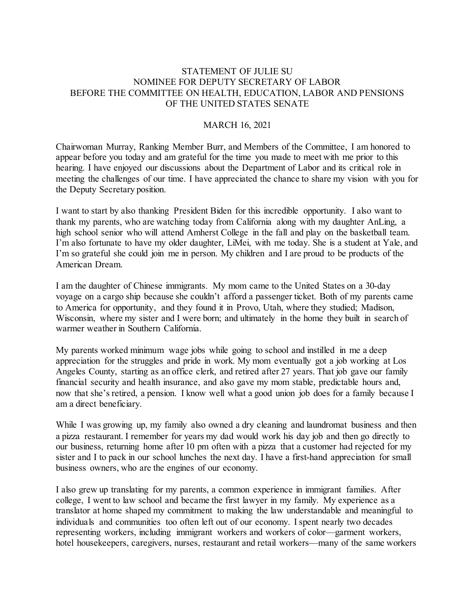## STATEMENT OF JULIE SU NOMINEE FOR DEPUTY SECRETARY OF LABOR BEFORE THE COMMITTEE ON HEALTH, EDUCATION, LABOR AND PENSIONS OF THE UNITED STATES SENATE

## MARCH 16, 2021

Chairwoman Murray, Ranking Member Burr, and Members of the Committee, I am honored to appear before you today and am grateful for the time you made to meet with me prior to this hearing. I have enjoyed our discussions about the Department of Labor and its critical role in meeting the challenges of our time. I have appreciated the chance to share my vision with you for the Deputy Secretary position.

I want to start by also thanking President Biden for this incredible opportunity. I also want to thank my parents, who are watching today from California along with my daughter AnLing, a high school senior who will attend Amherst College in the fall and play on the basketball team. I'm also fortunate to have my older daughter, LiMei, with me today. She is a student at Yale, and I'm so grateful she could join me in person. My children and I are proud to be products of the American Dream.

I am the daughter of Chinese immigrants. My mom came to the United States on a 30-day voyage on a cargo ship because she couldn't afford a passenger ticket. Both of my parents came to America for opportunity, and they found it in Provo, Utah, where they studied; Madison, Wisconsin, where my sister and I were born; and ultimately in the home they built in search of warmer weather in Southern California.

My parents worked minimum wage jobs while going to school and instilled in me a deep appreciation for the struggles and pride in work. My mom eventually got a job working at Los Angeles County, starting as an office clerk, and retired after 27 years. That job gave our family financial security and health insurance, and also gave my mom stable, predictable hours and, now that she's retired, a pension. I know well what a good union job does for a family because I am a direct beneficiary.

While I was growing up, my family also owned a dry cleaning and laundromat business and then a pizza restaurant. I remember for years my dad would work his day job and then go directly to our business, returning home after 10 pm often with a pizza that a customer had rejected for my sister and I to pack in our school lunches the next day. I have a first-hand appreciation for small business owners, who are the engines of our economy.

I also grew up translating for my parents, a common experience in immigrant families. After college, I went to law school and became the first lawyer in my family. My experience as a translator at home shaped my commitment to making the law understandable and meaningful to individuals and communities too often left out of our economy. I spent nearly two decades representing workers, including immigrant workers and workers of color—garment workers, hotel housekeepers, caregivers, nurses, restaurant and retail workers—many of the same workers